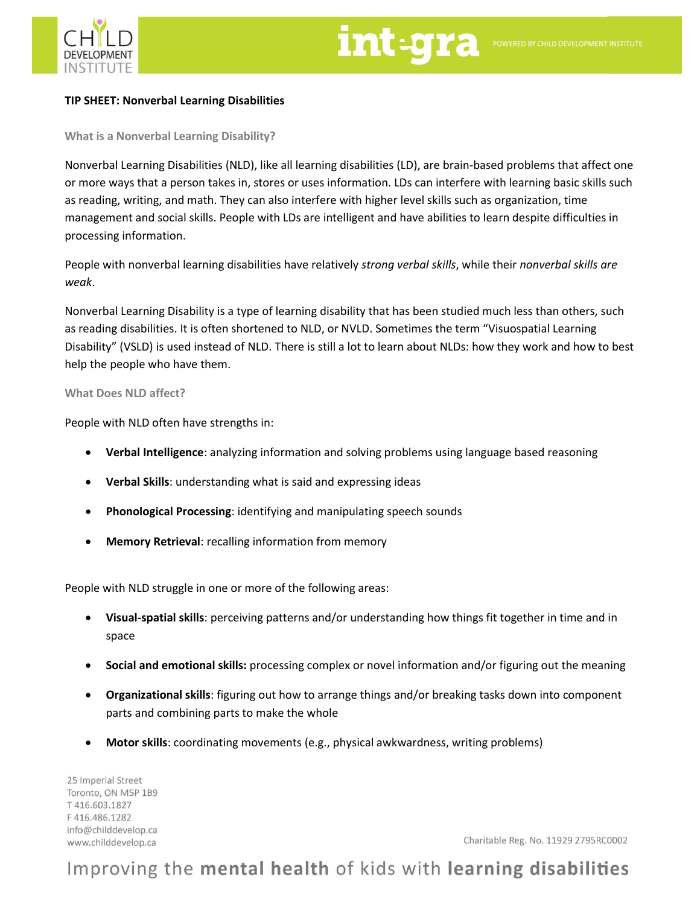

### **TIP SHEET: Nonverbal Learning Disabilities**

**What is a Nonverbal Learning Disability?**

Nonverbal Learning Disabilities (NLD), like all learning disabilities (LD), are brain-based problems that affect one or more ways that a person takes in, stores or uses information. LDs can interfere with learning basic skills such as reading, writing, and math. They can also interfere with higher level skills such as organization, time management and social skills. People with LDs are intelligent and have abilities to learn despite difficulties in processing information.

People with nonverbal learning disabilities have relatively *strong verbal skills*, while their *nonverbal skills are weak*.

Nonverbal Learning Disability is a type of learning disability that has been studied much less than others, such as reading disabilities. It is often shortened to NLD, or NVLD. Sometimes the term "Visuospatial Learning Disability" (VSLD) is used instead of NLD. There is still a lot to learn about NLDs: how they work and how to best help the people who have them.

#### **What Does NLD affect?**

People with NLD often have strengths in:

- **Verbal Intelligence**: analyzing information and solving problems using language based reasoning
- **Verbal Skills**: understanding what is said and expressing ideas
- **Phonological Processing**: identifying and manipulating speech sounds
- **Memory Retrieval**: recalling information from memory

People with NLD struggle in one or more of the following areas:

- **Visual-spatial skills**: perceiving patterns and/or understanding how things fit together in time and in space
- **Social and emotional skills:** processing complex or novel information and/or figuring out the meaning
- **Organizational skills**: figuring out how to arrange things and/or breaking tasks down into component parts and combining parts to make the whole
- **Motor skills**: coordinating movements (e.g., physical awkwardness, writing problems)

25 Imperial Street Toronto, ON M5P 1B9 T416.603.1827 F416.486.1282 info@childdevelop.ca www.childdevelop.ca

Charitable Reg. No. 11929 2795RC0002

# Improving the mental health of kids with learning disabilities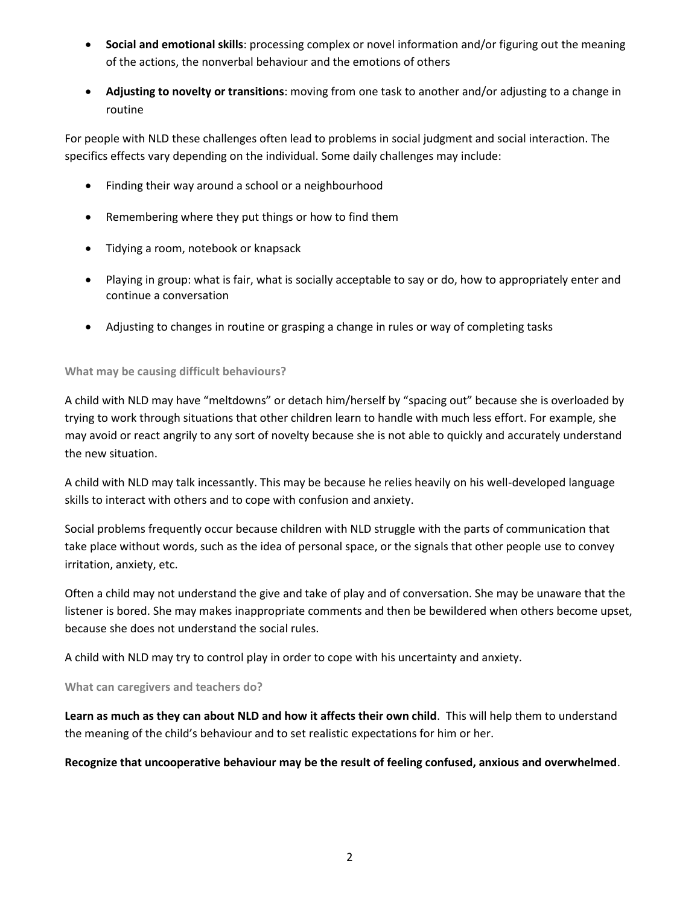- **Social and emotional skills**: processing complex or novel information and/or figuring out the meaning of the actions, the nonverbal behaviour and the emotions of others
- **Adjusting to novelty or transitions**: moving from one task to another and/or adjusting to a change in routine

For people with NLD these challenges often lead to problems in social judgment and social interaction. The specifics effects vary depending on the individual. Some daily challenges may include:

- Finding their way around a school or a neighbourhood
- Remembering where they put things or how to find them
- Tidying a room, notebook or knapsack
- Playing in group: what is fair, what is socially acceptable to say or do, how to appropriately enter and continue a conversation
- Adjusting to changes in routine or grasping a change in rules or way of completing tasks

# **What may be causing difficult behaviours?**

A child with NLD may have "meltdowns" or detach him/herself by "spacing out" because she is overloaded by trying to work through situations that other children learn to handle with much less effort. For example, she may avoid or react angrily to any sort of novelty because she is not able to quickly and accurately understand the new situation.

A child with NLD may talk incessantly. This may be because he relies heavily on his well-developed language skills to interact with others and to cope with confusion and anxiety.

Social problems frequently occur because children with NLD struggle with the parts of communication that take place without words, such as the idea of personal space, or the signals that other people use to convey irritation, anxiety, etc.

Often a child may not understand the give and take of play and of conversation. She may be unaware that the listener is bored. She may makes inappropriate comments and then be bewildered when others become upset, because she does not understand the social rules.

A child with NLD may try to control play in order to cope with his uncertainty and anxiety.

**What can caregivers and teachers do?**

**Learn as much as they can about NLD and how it affects their own child**. This will help them to understand the meaning of the child's behaviour and to set realistic expectations for him or her.

## **Recognize that uncooperative behaviour may be the result of feeling confused, anxious and overwhelmed**.